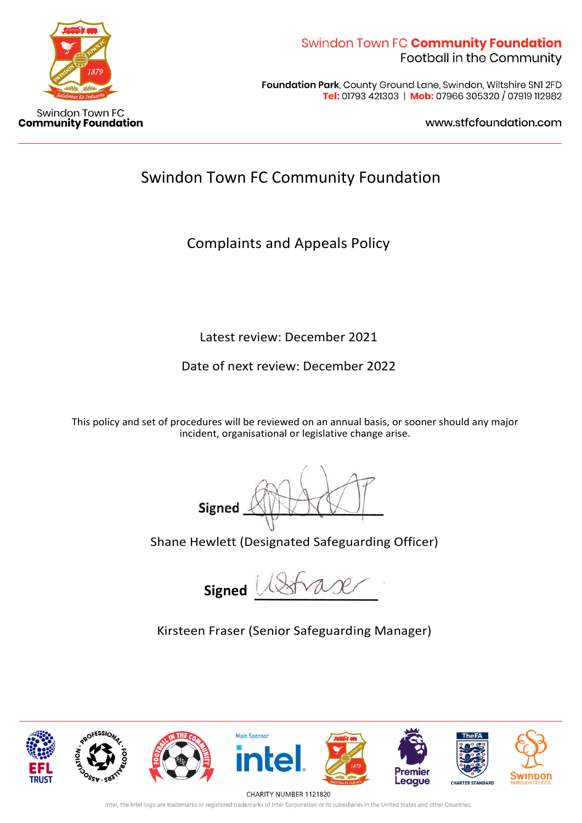

Foundation Park, County Ground Lane, Swindon, Wiltshire SNI 2FD Tel: 01793 421303 | Mob: 07966 305320 / 07919 112982

www.stfcfoundation.com

# Swindon Town FC Community Foundation

Complaints and Appeals Policy

Latest review: December 2021

Date of next review: December 2022

This policy and set of procedures will be reviewed on an annual basis, or sooner should any major incident, organisational or legislative change arise.

Signed

Shane Hewlett (Designated Safeguarding Officer)

 **Signed**

Kirsteen Fraser (Senior Safeguarding Manager)



CHARITY NUMBER 1121820

Intel, the Intel logo are trademarks or registered trademarks of Intel Corporation or its subsidiaries in the United States and other Countries.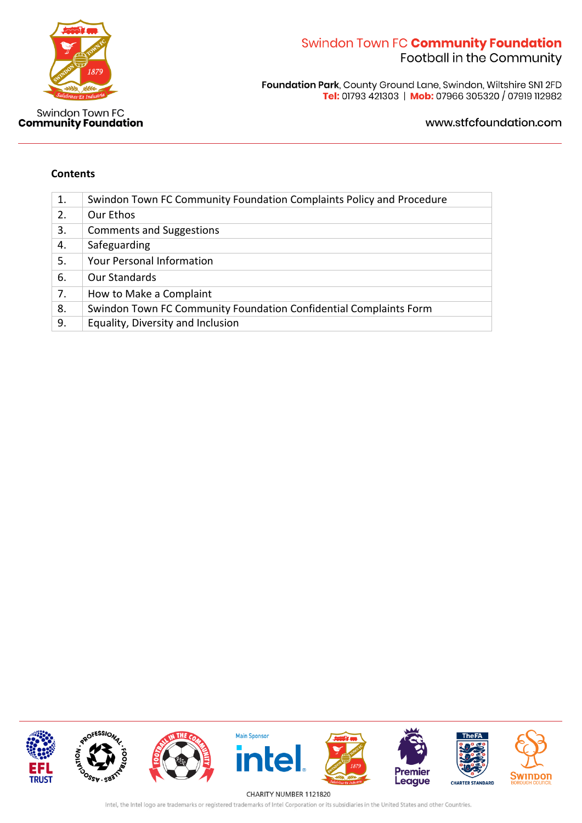

Foundation Park, County Ground Lane, Swindon, Wiltshire SN1 2FD<br>Tel: 01793 421303 | Mob: 07966 305320 / 07919 112982

www.stfcfoundation.com

#### **Contents**

| 1. | Swindon Town FC Community Foundation Complaints Policy and Procedure |
|----|----------------------------------------------------------------------|
| 2. | Our Ethos                                                            |
| 3. | <b>Comments and Suggestions</b>                                      |
| 4. | Safeguarding                                                         |
| 5. | <b>Your Personal Information</b>                                     |
| 6. | Our Standards                                                        |
| 7. | How to Make a Complaint                                              |
| 8. | Swindon Town FC Community Foundation Confidential Complaints Form    |
| 9. | Equality, Diversity and Inclusion                                    |



Intel, the Intel logo are trademarks or registered trademarks of Intel Corporation or its subsidiaries in the United States and other Countries.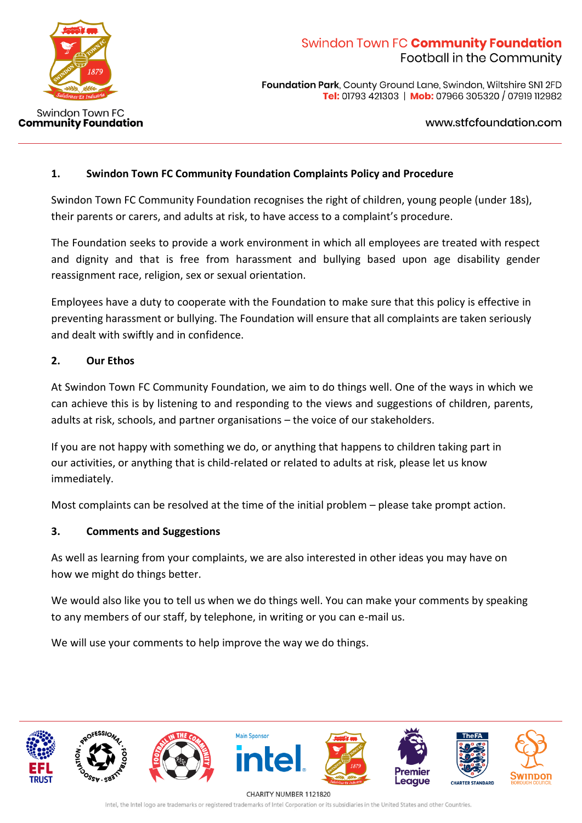

**Foundation Park, County Ground Lane, Swindon, Wiltshire SNI 2FD** Tel: 01793 421303 | Mob: 07966 305320 / 07919 112982

www.stfcfoundation.com

### **1. Swindon Town FC Community Foundation Complaints Policy and Procedure**

Swindon Town FC Community Foundation recognises the right of children, young people (under 18s), their parents or carers, and adults at risk, to have access to a complaint's procedure.

The Foundation seeks to provide a work environment in which all employees are treated with respect and dignity and that is free from harassment and bullying based upon age disability gender reassignment race, religion, sex or sexual orientation.

Employees have a duty to cooperate with the Foundation to make sure that this policy is effective in preventing harassment or bullying. The Foundation will ensure that all complaints are taken seriously and dealt with swiftly and in confidence.

### **2. Our Ethos**

At Swindon Town FC Community Foundation, we aim to do things well. One of the ways in which we can achieve this is by listening to and responding to the views and suggestions of children, parents, adults at risk, schools, and partner organisations – the voice of our stakeholders.

If you are not happy with something we do, or anything that happens to children taking part in our activities, or anything that is child-related or related to adults at risk, please let us know immediately.

Most complaints can be resolved at the time of the initial problem – please take prompt action.

### **3. Comments and Suggestions**

As well as learning from your complaints, we are also interested in other ideas you may have on how we might do things better.

We would also like you to tell us when we do things well. You can make your comments by speaking to any members of our staff, by telephone, in writing or you can e-mail us.

We will use your comments to help improve the way we do things.



CHARITY NUMBER 1121820 Intel, the Intel logo are trademarks or registered trademarks of Intel Corporation or its subsidiaries in the United States and other Countries.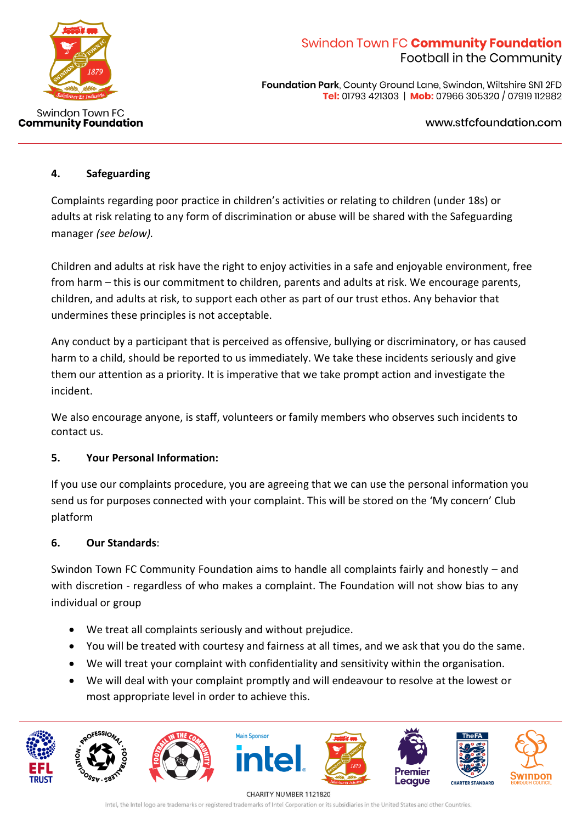

**Foundation Park, County Ground Lane, Swindon, Wiltshire SNI 2FD** Tel: 01793 421303 | Mob: 07966 305320 / 07919 112982

www.stfcfoundation.com

### **4. Safeguarding**

Complaints regarding poor practice in children's activities or relating to children (under 18s) or adults at risk relating to any form of discrimination or abuse will be shared with the Safeguarding manager *(see below).*

Children and adults at risk have the right to enjoy activities in a safe and enjoyable environment, free from harm – this is our commitment to children, parents and adults at risk. We encourage parents, children, and adults at risk, to support each other as part of our trust ethos. Any behavior that undermines these principles is not acceptable.

Any conduct by a participant that is perceived as offensive, bullying or discriminatory, or has caused harm to a child, should be reported to us immediately. We take these incidents seriously and give them our attention as a priority. It is imperative that we take prompt action and investigate the incident.

We also encourage anyone, is staff, volunteers or family members who observes such incidents to contact us.

### **5. Your Personal Information:**

If you use our complaints procedure, you are agreeing that we can use the personal information you send us for purposes connected with your complaint. This will be stored on the 'My concern' Club platform

### **6. Our Standards**:

Swindon Town FC Community Foundation aims to handle all complaints fairly and honestly – and with discretion - regardless of who makes a complaint. The Foundation will not show bias to any individual or group

- We treat all complaints seriously and without prejudice.
- You will be treated with courtesy and fairness at all times, and we ask that you do the same.
- We will treat your complaint with confidentiality and sensitivity within the organisation.
- We will deal with your complaint promptly and will endeavour to resolve at the lowest or most appropriate level in order to achieve this.



CHARITY NUMBER 1121820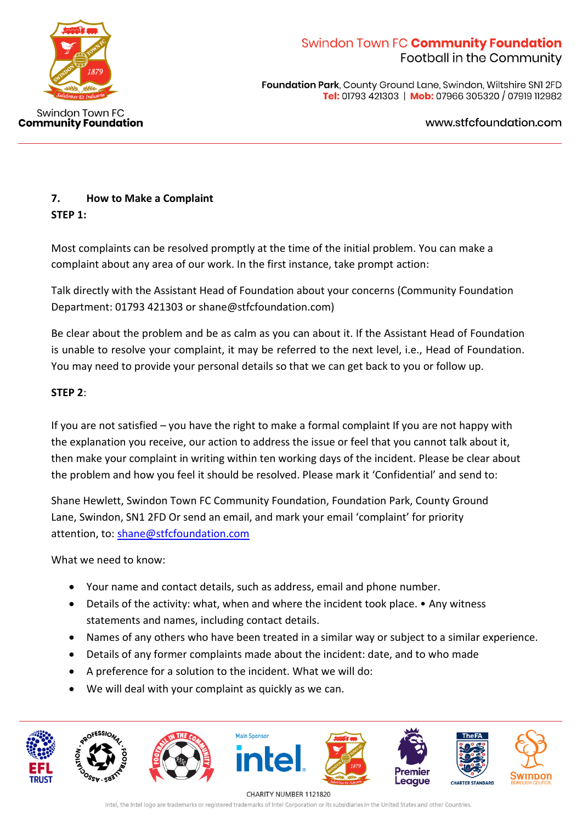

**Foundation Park, County Ground Lane, Swindon, Wiltshire SNI 2FD** Tel: 01793 421303 | Mob: 07966 305320 / 07919 112982

www.stfcfoundation.com

### **7. How to Make a Complaint STEP 1:**

Most complaints can be resolved promptly at the time of the initial problem. You can make a complaint about any area of our work. In the first instance, take prompt action:

Talk directly with the Assistant Head of Foundation about your concerns (Community Foundation Department: 01793 421303 or shane@stfcfoundation.com)

Be clear about the problem and be as calm as you can about it. If the Assistant Head of Foundation is unable to resolve your complaint, it may be referred to the next level, i.e., Head of Foundation. You may need to provide your personal details so that we can get back to you or follow up.

### **STEP 2**:

If you are not satisfied – you have the right to make a formal complaint If you are not happy with the explanation you receive, our action to address the issue or feel that you cannot talk about it, then make your complaint in writing within ten working days of the incident. Please be clear about the problem and how you feel it should be resolved. Please mark it 'Confidential' and send to:

Shane Hewlett, Swindon Town FC Community Foundation, Foundation Park, County Ground Lane, Swindon, SN1 2FD Or send an email, and mark your email 'complaint' for priority attention, to: [shane@stfcfoundation.com](mailto:shane@stfcfoundation.com)

What we need to know:

- Your name and contact details, such as address, email and phone number.
- Details of the activity: what, when and where the incident took place. Any witness statements and names, including contact details.
- Names of any others who have been treated in a similar way or subject to a similar experience.
- Details of any former complaints made about the incident: date, and to who made
- A preference for a solution to the incident. What we will do:
- We will deal with your complaint as quickly as we can.



CHARITY NUMBER 1121820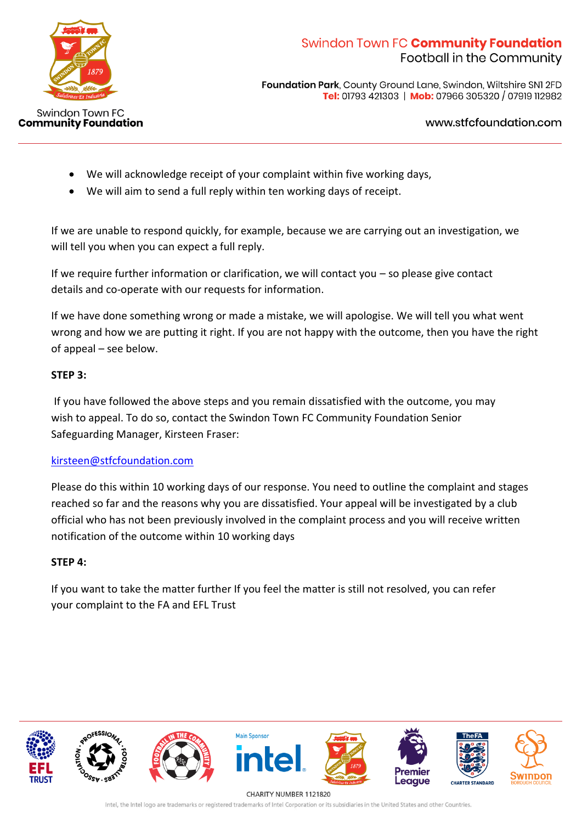

**Foundation Park, County Ground Lane, Swindon, Wiltshire SNI 2FD** Tel: 01793 421303 | Mob: 07966 305320 / 07919 112982

www.stfcfoundation.com

- We will acknowledge receipt of your complaint within five working days,
- We will aim to send a full reply within ten working days of receipt.

If we are unable to respond quickly, for example, because we are carrying out an investigation, we will tell you when you can expect a full reply.

If we require further information or clarification, we will contact you – so please give contact details and co-operate with our requests for information.

If we have done something wrong or made a mistake, we will apologise. We will tell you what went wrong and how we are putting it right. If you are not happy with the outcome, then you have the right of appeal – see below.

### **STEP 3:**

If you have followed the above steps and you remain dissatisfied with the outcome, you may wish to appeal. To do so, contact the Swindon Town FC Community Foundation Senior Safeguarding Manager, Kirsteen Fraser:

### [kirsteen@stfcfoundation.com](mailto:kirsteen@stfcfoundation.com)

Please do this within 10 working days of our response. You need to outline the complaint and stages reached so far and the reasons why you are dissatisfied. Your appeal will be investigated by a club official who has not been previously involved in the complaint process and you will receive written notification of the outcome within 10 working days

### **STEP 4:**

If you want to take the matter further If you feel the matter is still not resolved, you can refer your complaint to the FA and EFL Trust



CHARITY NUMBER 1121820 Intel, the Intel logo are trademarks or registered trademarks of Intel Corporation or its subsidiaries in the United States and other Countries.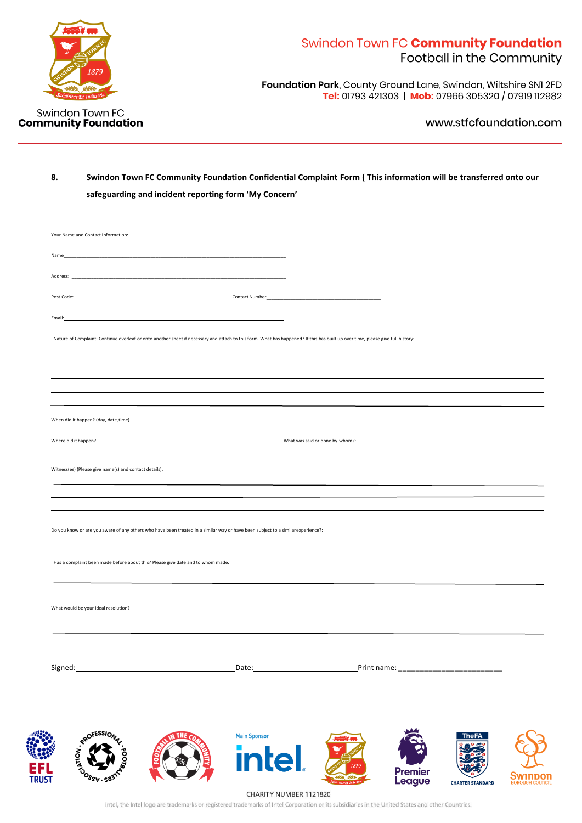

Foundation Park, County Ground Lane, Swindon, Wiltshire SNI 2FD Tel: 01793 421303 | Mob: 07966 305320 / 07919 112982

#### www.stfcfoundation.com

### **8. Swindon Town FC Community Foundation Confidential Complaint Form ( This information will be transferred onto our safeguarding and incident reporting form 'My Concern'**

| Your Name and Contact Information:                                                                                                                                              |                           |  |  |
|---------------------------------------------------------------------------------------------------------------------------------------------------------------------------------|---------------------------|--|--|
| Name___                                                                                                                                                                         |                           |  |  |
| Address:                                                                                                                                                                        |                           |  |  |
|                                                                                                                                                                                 |                           |  |  |
| <u> 1989 - Johann Barn, mars ann an t-Amhain ann an t-Amhain an t-Amhain an t-Amhain an t-Amhain an t-Amhain an t-</u><br>Email:                                                |                           |  |  |
| Nature of Complaint: Continue overleaf or onto another sheet if necessary and attach to this form. What has happened? If this has built up over time, please give full history: |                           |  |  |
|                                                                                                                                                                                 |                           |  |  |
|                                                                                                                                                                                 |                           |  |  |
|                                                                                                                                                                                 |                           |  |  |
|                                                                                                                                                                                 |                           |  |  |
| Where did it happen?<br>What was said or done by whom?:                                                                                                                         |                           |  |  |
| Witness(es) (Please give name(s) and contact details):                                                                                                                          |                           |  |  |
|                                                                                                                                                                                 |                           |  |  |
|                                                                                                                                                                                 |                           |  |  |
| Do you know or are you aware of any others who have been treated in a similar way or have been subject to a similar experience?:                                                |                           |  |  |
|                                                                                                                                                                                 |                           |  |  |
| Has a complaint been made before about this? Please give date and to whom made:                                                                                                 |                           |  |  |
|                                                                                                                                                                                 |                           |  |  |
| What would be your ideal resolution?                                                                                                                                            |                           |  |  |
|                                                                                                                                                                                 |                           |  |  |
|                                                                                                                                                                                 |                           |  |  |
|                                                                                                                                                                                 |                           |  |  |
|                                                                                                                                                                                 |                           |  |  |
|                                                                                                                                                                                 |                           |  |  |
|                                                                                                                                                                                 | $\mathbf{A}$ $\mathbf{A}$ |  |  |